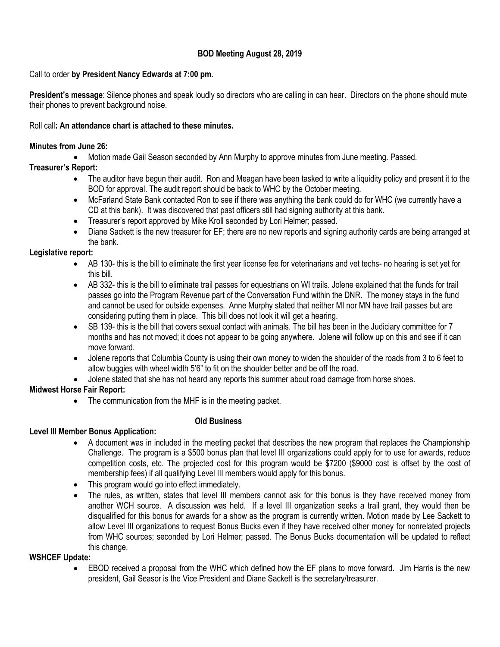# **BOD Meeting August 28, 2019**

#### Call to order **by President Nancy Edwards at 7:00 pm.**

**President's message**: Silence phones and speak loudly so directors who are calling in can hear. Directors on the phone should mute their phones to prevent background noise.

#### Roll call**: An attendance chart is attached to these minutes.**

#### **Minutes from June 26:**

Motion made Gail Season seconded by Ann Murphy to approve minutes from June meeting. Passed.

# **Treasurer's Report:**

- The auditor have begun their audit. Ron and Meagan have been tasked to write a liquidity policy and present it to the BOD for approval. The audit report should be back to WHC by the October meeting.
- McFarland State Bank contacted Ron to see if there was anything the bank could do for WHC (we currently have a CD at this bank). It was discovered that past officers still had signing authority at this bank.
- Treasurer's report approved by Mike Kroll seconded by Lori Helmer; passed.
- Diane Sackett is the new treasurer for EF; there are no new reports and signing authority cards are being arranged at the bank.

#### **Legislative report:**

- AB 130- this is the bill to eliminate the first year license fee for veterinarians and vet techs- no hearing is set yet for this bill.
- AB 332- this is the bill to eliminate trail passes for equestrians on WI trails. Jolene explained that the funds for trail passes go into the Program Revenue part of the Conversation Fund within the DNR. The money stays in the fund and cannot be used for outside expenses. Anne Murphy stated that neither MI nor MN have trail passes but are considering putting them in place. This bill does not look it will get a hearing.
- SB 139- this is the bill that covers sexual contact with animals. The bill has been in the Judiciary committee for 7 months and has not moved; it does not appear to be going anywhere. Jolene will follow up on this and see if it can move forward.
- Jolene reports that Columbia County is using their own money to widen the shoulder of the roads from 3 to 6 feet to allow buggies with wheel width 5'6" to fit on the shoulder better and be off the road.
- Jolene stated that she has not heard any reports this summer about road damage from horse shoes.

## **Midwest Horse Fair Report:**

• The communication from the MHF is in the meeting packet.

## **Old Business**

**Level III Member Bonus Application:**

## A document was in included in the meeting packet that describes the new program that replaces the Championship Challenge. The program is a \$500 bonus plan that level III organizations could apply for to use for awards, reduce competition costs, etc. The projected cost for this program would be \$7200 (\$9000 cost is offset by the cost of membership fees) if all qualifying Level III members would apply for this bonus.

- This program would go into effect immediately.
- The rules, as written, states that level III members cannot ask for this bonus is they have received money from another WCH source. A discussion was held. If a level III organization seeks a trail grant, they would then be disqualified for this bonus for awards for a show as the program is currently written. Motion made by Lee Sackett to allow Level III organizations to request Bonus Bucks even if they have received other money for nonrelated projects from WHC sources; seconded by Lori Helmer; passed. The Bonus Bucks documentation will be updated to reflect this change.

## **WSHCEF Update:**

 EBOD received a proposal from the WHC which defined how the EF plans to move forward. Jim Harris is the new president, Gail Seasor is the Vice President and Diane Sackett is the secretary/treasurer.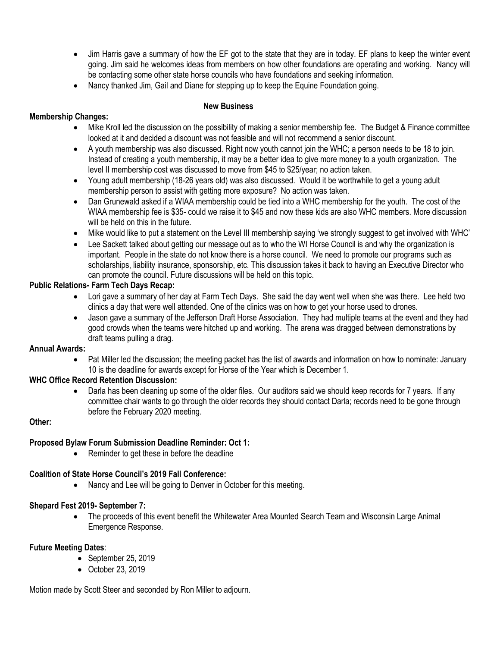- Jim Harris gave a summary of how the EF got to the state that they are in today. EF plans to keep the winter event going. Jim said he welcomes ideas from members on how other foundations are operating and working. Nancy will be contacting some other state horse councils who have foundations and seeking information.
- Nancy thanked Jim, Gail and Diane for stepping up to keep the Equine Foundation going.

## **New Business**

## **Membership Changes:**

- Mike Kroll led the discussion on the possibility of making a senior membership fee. The Budget & Finance committee looked at it and decided a discount was not feasible and will not recommend a senior discount.
- A youth membership was also discussed. Right now youth cannot join the WHC; a person needs to be 18 to join. Instead of creating a youth membership, it may be a better idea to give more money to a youth organization. The level II membership cost was discussed to move from \$45 to \$25/year; no action taken.
- Young adult membership (18-26 years old) was also discussed. Would it be worthwhile to get a young adult membership person to assist with getting more exposure? No action was taken.
- Dan Grunewald asked if a WIAA membership could be tied into a WHC membership for the youth. The cost of the WIAA membership fee is \$35- could we raise it to \$45 and now these kids are also WHC members. More discussion will be held on this in the future.
- Mike would like to put a statement on the Level III membership saying 'we strongly suggest to get involved with WHC'
- Lee Sackett talked about getting our message out as to who the WI Horse Council is and why the organization is important. People in the state do not know there is a horse council. We need to promote our programs such as scholarships, liability insurance, sponsorship, etc. This discussion takes it back to having an Executive Director who can promote the council. Future discussions will be held on this topic.

## **Public Relations- Farm Tech Days Recap:**

- Lori gave a summary of her day at Farm Tech Days. She said the day went well when she was there. Lee held two clinics a day that were well attended. One of the clinics was on how to get your horse used to drones.
- Jason gave a summary of the Jefferson Draft Horse Association. They had multiple teams at the event and they had good crowds when the teams were hitched up and working. The arena was dragged between demonstrations by draft teams pulling a drag.

#### **Annual Awards:**

 Pat Miller led the discussion; the meeting packet has the list of awards and information on how to nominate: January 10 is the deadline for awards except for Horse of the Year which is December 1.

## **WHC Office Record Retention Discussion:**

 Darla has been cleaning up some of the older files. Our auditors said we should keep records for 7 years. If any committee chair wants to go through the older records they should contact Darla; records need to be gone through before the February 2020 meeting.

## **Other:**

## **Proposed Bylaw Forum Submission Deadline Reminder: Oct 1:**

Reminder to get these in before the deadline

## **Coalition of State Horse Council's 2019 Fall Conference:**

Nancy and Lee will be going to Denver in October for this meeting.

## **Shepard Fest 2019- September 7:**

 The proceeds of this event benefit the Whitewater Area Mounted Search Team and Wisconsin Large Animal Emergence Response.

## **Future Meeting Dates**:

- $\bullet$  September 25, 2019
- October 23, 2019

Motion made by Scott Steer and seconded by Ron Miller to adjourn.